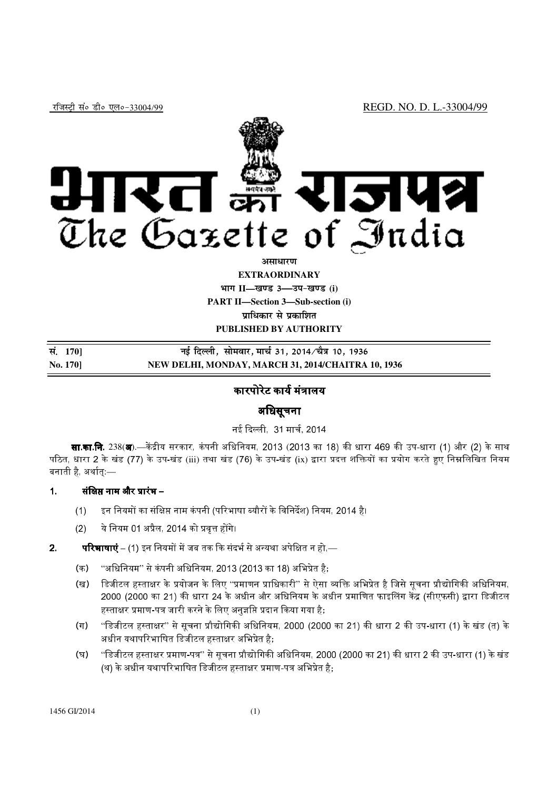

#### **vlk/kj.k**

**EXTRAORDINARY**

**Hkkx II—[k.M 3—mi&[k.M (i)**

**PART II—Section 3—Sub-section (i)** 

**प्राधिकार से प्रकाशित** 

**PUBLISHED BY AUTHORITY**

| सं. 170]        | नई दिल्ली, सोमवार, मार्च 31, 2014 ∕चैत्र 10, 1936  |
|-----------------|----------------------------------------------------|
| <b>No. 1701</b> | NEW DELHI, MONDAY, MARCH 31, 2014/CHAITRA 10, 1936 |

## कारपोरेट कार्य मंत्रालय

# अिधसूचना

नई दिल्ली, 31 मार्च, 2014

**सा.का.नि.** 238(**अ**).—केंद्रीय सरकार, कंपनी अधिनियम, 2013 (2013 का 18) की धारा 469 की उप-धारा (1) और (2) के साथ पठित, धारा 2 के खंड (77) के उप-खंड (iii) तथा खंड (76) के उप-खंड (ix) द्वारा प्रदत्त शक्तियों का प्रयोग करते हुए निम्नलिखित नियम बनाती है, अर्थात:—

#### $\mathbf 1$ . क्षिप्त नाम और प्रारंभ –

- (1) इन नियमों का संक्षिप्त नाम कंपनी (परिभाषा ब्यौरों के विनिर्देश) नियम, 2014 है।
- $(2)$  ये नियम 01 अप्रैल, 2014 को प्रवृत्त होंगे।
- 2. **रिभाषाएं** – (1) इन नियमों में जब तक कि संदर्भ से अन्यथा अपेक्षित न हो,—
	- (क) "अधिनियम" से कंपनी अधिनियम, 2013 (2013 का 18) अभिप्रेत है;
	- (ख) हिजीटल हस्ताक्षर के प्रयोजन के लिए ''प्रमाणन प्राधिकारी'' से ऐसा व्यक्ति अभिप्रेत है जिसे सूचना प्रौद्योगिकी अधिनियम, 2000 (2000 का 21) की धारा 24 के अधीन और अधिनियम के अधीन प्रमाणित फाइलिंग केंद्र (सीएफसी) द्वारा डिजीटल हस्ताक्षर प्रमाण-पत्र जारी करने के लिए अनुज<mark>्ञ</mark>प्ति प्रदान किया गया है;
	- (ग) ''डिजीटल हस्ताक्षर'' से सूचना प्रौद्योगिकी अधिनियम, 2000 (2000 का 21) की धारा 2 की उप-धारा (1) के खंड (त) के अधीन यथापरिभाषित डिजीटल हस्ताक्षर अभिप्रेत है:
	- (घ) "डिजीटल हस्ताक्षर प्रमाण-पत्र" से सूचना प्रौद्योगिकी अधिनियम, 2000 (2000 का 21) की धारा 2 की उप-धारा (1) के खंड (थ) के अधीन यथापरिभाषित डिजीटल हस्ताक्षर प्रमाण-पत्र अभिप्रेत है: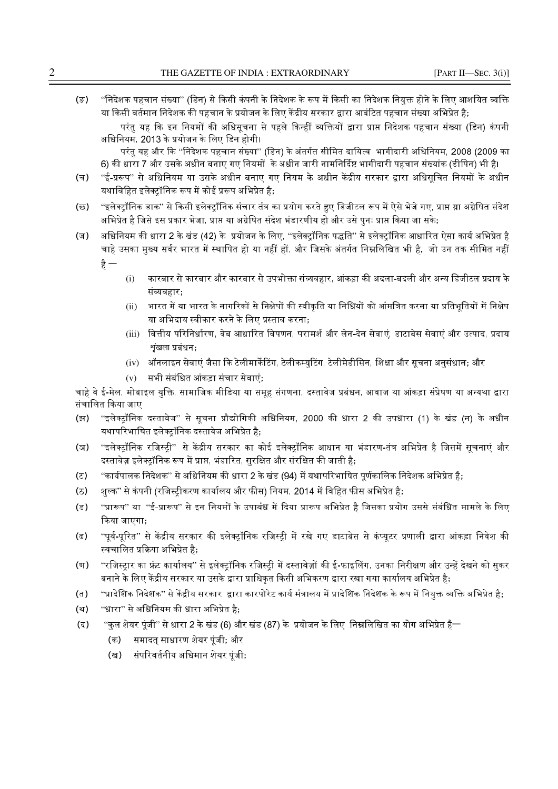(ङ) "निदेशक पहचान संख्या" (डिन) से किसी कंपनी के निदेशक के रूप में किसी का निदेशक नियुक्त होने के लिए आशयित व्यक्ति या किसी वर्तमान निदेशक की पहचान के प्रयोजन के लिए केंद्रीय सरकार द्वारा आबंटित पहचान संख्या अभिप्रेत है;

परंत यह कि इन नियमों की अधिसचना से पहले किन्हीं व्यक्तियों द्वारा प्राप्त निदेशक पहचान संख्या (डिन) कंपनी अधिनियम, 2013 के प्रयोजन के लिए डिन होगी।

परंतु यह और कि ''निदेशक पहचान संख्या'' (डिन) के अंतर्गत सीमित दायित्व भागीदारी अधिनियम, 2008 (2009 का 6) की धारा 7 और उसके अधीन बनाए गए नियमों के अधीन जारी नामनिर्दिष्ट भागीदारी पहचान संख्यांक (डीपिन) भी है।

- (च) "ई-प्ररूप" से अधिनियम या उसके अधीन बनाए गए नियम के अधीन केंद्रीय सरकार द्वारा अधिसूचित नियमों के अधीन यथाविहित इलेक्ट्रॉनिक रूप में कोई प्ररूप अभिप्रेत है;
- (छ) "इलेक्ट्रॉनिक डाक" से किसी इलेक्ट्रॉनिक संचार तंत्र का प्रयोग करते हुए डिजीटल रूप में ऐसे भेजे गए, प्राप्त य़ा अग्रेषित संदेश अभिप्रेत है जिसे इस प्रकार भेजा, प्राप्त या अग्रेषित संदेश भंडारणीय हो और उसे पुनः प्राप्त किया जा सके;
- (ज) अधिनियम की धारा 2 के खंड (42) के प्रयोजन के लिए, ''इलेक्ट्रॉनिक पद्धति'' से इलेक्ट्रॉनिक आधारित ऐसा कार्य अभिप्रेत है चाहे उसका मुख्य सर्वर भारत में स्थापित हो या नहीं हों, और जिसके अंतर्गत निम्नलिखित भी है, जो उन तक सीमित नहीं है $-$ 
	- (i) कारबार से कारबार और कारबार से उपभोक्ता संव्यवहार, आंकड़ा की अदला-बदली और अन्य डिजीटल प्रदाय के संव्यवहार $:$
	- (ii) भारत में या भारत के नागरिकों से निक्षेपों की स्वीकृति या निधियों को आंमत्रित करना या प्रतिभूतियों में निक्षेप या अभिदाय स्वीकार करने के लिए प्रस्ताव करना;
	- (iii) वित्तीय परिनिर्धारण, वेब आधारित विपणन, परामर्श और लेन-देन सेवाएं, डाटाबेस सेवाएं और उत्पाद, प्रदाय  $x$ शंखला प्रबंधन $\cdot$
	- (iv) ऑनलाइन सेवाएं जैसा कि टेलीमार्केटिंग, टेलीकम्युटिंग, टेलीमेडीसिन, शिक्षा और सूचना अनुसंधान; और
	- (v) सभी संबंिधत आंकड़ा संचार सेवाएं;

चाहे वे ई-मेल. मोबाइल यक्ति. सामाजिक मीडिया या समह संगणना. दस्तावेज प्रबंधन. आवाज या आंकड़ा संप्रेषण या अन्यथा द्वारा संचालित किया जाए

- (झ) "इलेक्ट्रॉनिक दस्तावेज" से सूचना प्रौद्योगिकी अधिनियम, 2000 की धारा 2 की उपधारा (1) के खंड (न) के अधीन यथापरिभाषित इलेक्ट्रॉनिक दस्तावेज अभिप्रेत है;
- (ञ) "इलेक्ट्रॉनिक रजिस्ट्री" से केंद्रीय सरकार का कोई इलेक्ट्रॉनिक आधान या भंडारण-तंत्र अभिप्रेत है जिसमें सूचनाएं और दस्तावेज़ इलेक्ट्रॉनिक रूप में प्राप्त, भंडारित, सुरक्षित और संरक्षित की जाती है;
- (ट) ार्यपालक निदेशक'' से अधिनियम की धारा 2 के खंड (94) में यथापरिभाषित पूर्णकालिक निदेशक अभिप्रेत है;
- (ठ) शुल्क'' से कंपनी (रजिस्ट्रीकरण कार्यालय और फीस) नियम, 2014 में विहित फीस अभिप्रेत है;
- (ड) "प्रारूप" या "ई-प्रारूप" से इन नियमों के उपाबंध में दिया प्रारूप अभिप्रेत है जिसका प्रयोग उससे संबंधित मामले के लिए किया जाएगा;
- (ढ) "पूर्व-पूरित" से केंद्रीय सरकार की इलेक्ट्रॉनिक रजिस्ट्री में रखे गए डाटाबेस से कंप्यूटर प्रणाली द्वारा आंकड़ा निवेश की स्वचालित प्रक्रिया अभिप्रेत है:
- (ण) "रजिस्ट्रार का फ्रंट कार्यालय" से इलेक्ट्रॉनिक रजिस्ट्री में दस्तावेज़ों की ई-फाइलिंग, उनका निरीक्षण और उन्हें देखने को सुकर बनाने के लिए केंद्रीय सरकार या उसके द्वारा प्राधिकृत किसी अभिकरण द्वारा रखा गया कार्यालय अभिप्रेत है;
- (त) "प्रादेशिक निदेशक" से केंद्रीय सरकार द्वारा कारपोरेट कार्य मंत्रालय में प्रादेशिक निदेशक के रूप में नियुक्त व्यक्ति अभिप्रेत है;
- (थ) "धारा" से अधिनियम की धारा अभिप्रेत है;
- (द) "कल शेयर पंजी" से धारा 2 के खंड (6) और खंड (87) के प्रयोजन के लिए निम्नलिखित का योग अभिप्रेत है—
	- (क) समादत् साधारण शेयर पूंजी; और
	- (ख) संपरिवर्तनीय अधिमान शेयर पंजी**:**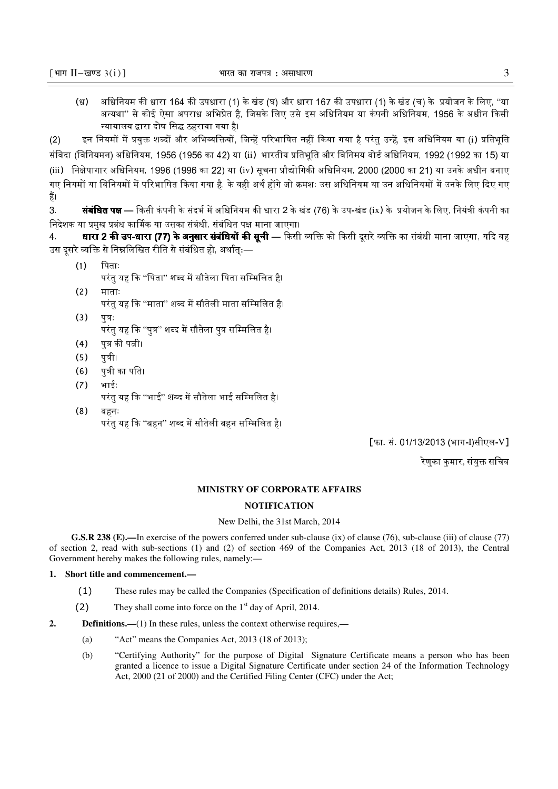(ध) अधिनियम की धारा 164 की उपधारा (1) के खंड (घ) और धारा 167 की उपधारा (1) के खंड (च) के प्रयोजन के लिए, ''या अन्यथा'' से कोई ऐसा अपराध अभिप्रेत है, जिसके लिए उसे इस अधिनियम या कंपनी अधिनियम, 1956 के अधीन किसी न्यायालय द्वारा दोष सिद्ध ठहराया गया है।

(2) इन नियमों में प्रयुक्त शब्दों और अभिव्यक्तियों, जिन्हें परिभाषित नहीं किया गया है परंतु उन्हें, इस अधिनियम या (i) प्रतिभूति संविदा (विनियमन) अधिनियम, 1956 (1956 का 42) या (ii) भारतीय प्रतिभति और विनिमय बोर्ड अधिनियम, 1992 (1992 का 15) या (iii) निक्षेपागार अधिनियम, 1996 (1996 का 22) या (iv) सूचना प्रौद्योगिकी अधिनियम, 2000 (2000 का 21) या उनके अधीन बनाए गए नियमों या विनियमों में परिभाषित किया गया है. के वही अर्थ होंगे जो क्रमशः उस अधिनियम या उन अधिनियमों में उनके लिए दिए गए हैं।

3. **संबंधित पक्ष** — किसी कंपनी के संदर्भ में अधिनियम की धारा 2 के खंड (76) के उप-खंड (ix) के प्रयोजन के लिए, नियंत्री कंपनी का निदेशक या प्रमख प्रबंध कार्मिक या उसका संबंधी. संबंधित पक्ष माना जाएगा।

4. **धारा 2 की उप-धारा (77) के अनुसार संबंधियों की सूची** — किसी व्यक्ति को किसी दूसरे व्यक्ति का संबंधी माना जाएगा, यदि वह उस दूसरे व्यक्ति से निम्नलिखित रीति से संबंधित हो, अर्थात्:—

- $(1)$  पिताः परंतु यह कि ''पिता'' शब्द में सौतेला पिता सम्मिलित है।
- (2) माताः परंतु यह कि ''माता'' शब्द में सौतेली माता सम्मिलित है।
- $(3)$   $\sqrt{7}:$ परंतु यह कि ''पुत्र'' शब्द में सौतेला पुत्र सम्मिलित है<mark>।</mark>
- (4) पुत्र की पत्नी।
- $(5)$  पत्री।
- (6) पत्री का पति।
- (7) भाईः
	- परंतु यह कि ''भाई'' शब्द में सौतेला भाई सम्मिलित है।
- (8) बहनः परंतु यह कि ''बहन'' शब्द में सौतेली बहन सम्मिलित है<mark>।</mark>

[फा. सं. 01/13/2013 (भाग-I)सीएल-V]

रेणुका कुमार, संयुक्त सचिव

#### **MINISTRY OF CORPORATE AFFAIRS**

#### **NOTIFICATION**

#### New Delhi, the 31st March, 2014

**G.S.R 238 (E).—**In exercise of the powers conferred under sub-clause (ix) of clause (76), sub-clause (iii) of clause (77) of section 2, read with sub-sections (1) and (2) of section 469 of the Companies Act, 2013 (18 of 2013), the Central Government hereby makes the following rules, namely:—

### **1. Short title and commencement.—**

- (1) These rules may be called the Companies (Specification of definitions details) Rules, 2014.
- (2) They shall come into force on the  $1<sup>st</sup>$  day of April, 2014.
- **2. Definitions.—**(1) In these rules, unless the context otherwise requires,**—**
	- (a) "Act" means the Companies Act, 2013 (18 of 2013);
	- (b) "Certifying Authority" for the purpose of Digital Signature Certificate means a person who has been granted a licence to issue a Digital Signature Certificate under section 24 of the Information Technology Act, 2000 (21 of 2000) and the Certified Filing Center (CFC) under the Act;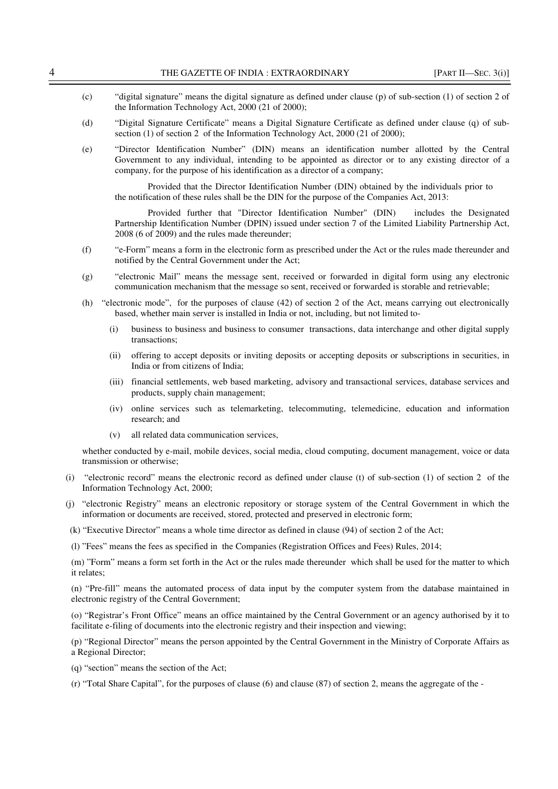- (c) "digital signature" means the digital signature as defined under clause (p) of sub-section (1) of section 2 of the Information Technology Act, 2000 (21 of 2000);
- (d) "Digital Signature Certificate" means a Digital Signature Certificate as defined under clause (q) of subsection (1) of section 2 of the Information Technology Act, 2000 (21 of 2000);
- (e) "Director Identification Number" (DIN) means an identification number allotted by the Central Government to any individual, intending to be appointed as director or to any existing director of a company, for the purpose of his identification as a director of a company;

 Provided that the Director Identification Number (DIN) obtained by the individuals prior to the notification of these rules shall be the DIN for the purpose of the Companies Act, 2013:

Provided further that "Director Identification Number" (DIN) includes the Designated Partnership Identification Number (DPIN) issued under section 7 of the Limited Liability Partnership Act, 2008 (6 of 2009) and the rules made thereunder;

- (f) "e-Form" means a form in the electronic form as prescribed under the Act or the rules made thereunder and notified by the Central Government under the Act;
- (g) "electronic Mail" means the message sent, received or forwarded in digital form using any electronic communication mechanism that the message so sent, received or forwarded is storable and retrievable;
- (h) "electronic mode", for the purposes of clause (42) of section 2 of the Act, means carrying out electronically based, whether main server is installed in India or not, including, but not limited to-
	- (i) business to business and business to consumer transactions, data interchange and other digital supply transactions;
	- (ii) offering to accept deposits or inviting deposits or accepting deposits or subscriptions in securities, in India or from citizens of India;
	- (iii) financial settlements, web based marketing, advisory and transactional services, database services and products, supply chain management;
	- (iv) online services such as telemarketing, telecommuting, telemedicine, education and information research; and
	- (v) all related data communication services,

whether conducted by e-mail, mobile devices, social media, cloud computing, document management, voice or data transmission or otherwise;

- (i) "electronic record" means the electronic record as defined under clause (t) of sub-section (1) of section 2 of the Information Technology Act, 2000;
- (j) "electronic Registry" means an electronic repository or storage system of the Central Government in which the information or documents are received, stored, protected and preserved in electronic form;
- (k) "Executive Director" means a whole time director as defined in clause (94) of section 2 of the Act;
- (l) "Fees" means the fees as specified in the Companies (Registration Offices and Fees) Rules, 2014;

(m) "Form" means a form set forth in the Act or the rules made thereunder which shall be used for the matter to which it relates;

(n) "Pre-fill" means the automated process of data input by the computer system from the database maintained in electronic registry of the Central Government;

(o) "Registrar's Front Office" means an office maintained by the Central Government or an agency authorised by it to facilitate e-filing of documents into the electronic registry and their inspection and viewing;

(p) "Regional Director" means the person appointed by the Central Government in the Ministry of Corporate Affairs as a Regional Director;

(q) "section" means the section of the Act;

(r) "Total Share Capital", for the purposes of clause (6) and clause (87) of section 2, means the aggregate of the -